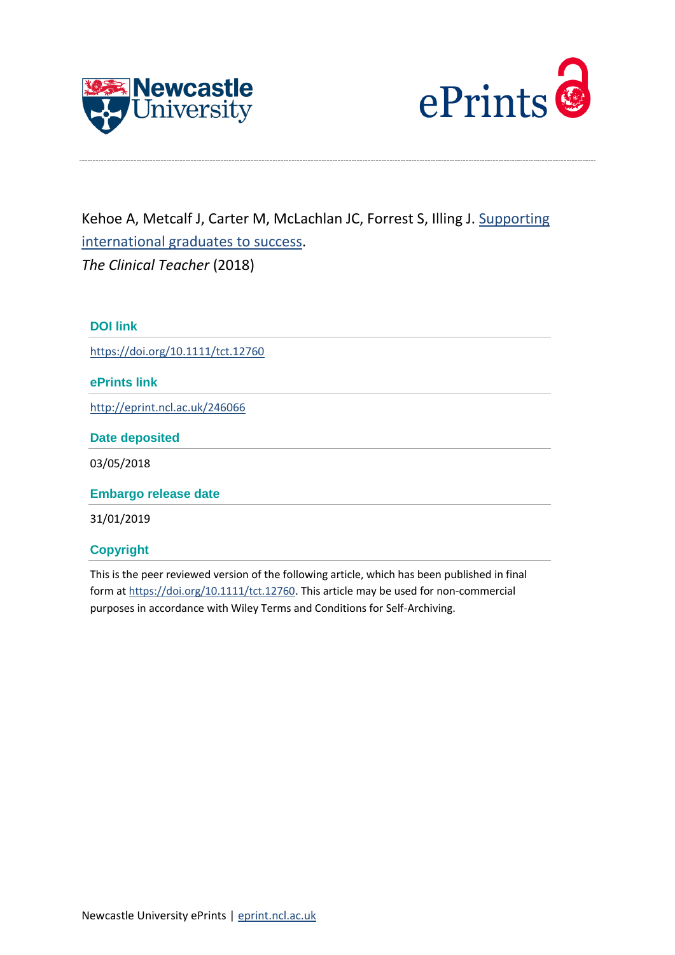



Kehoe A, Metcalf J, Carter M, McLachlan JC, Forrest S, Illing J. [Supporting](http://eprint.ncl.ac.uk/246066)  [international graduates to success.](http://eprint.ncl.ac.uk/246066) *The Clinical Teacher* (2018)

**DOI link** <https://doi.org/10.1111/tct.12760> **ePrints link** <http://eprint.ncl.ac.uk/246066> **Date deposited** 03/05/2018 **Embargo release date** 31/01/2019

**Copyright** This is the peer reviewed version of the following article, which has been published in final form a[t https://doi.org/10.1111/tct.12760.](https://doi.org/10.1111/tct.12760) This article may be used for non-commercial

purposes in accordance with Wiley Terms and Conditions for Self-Archiving.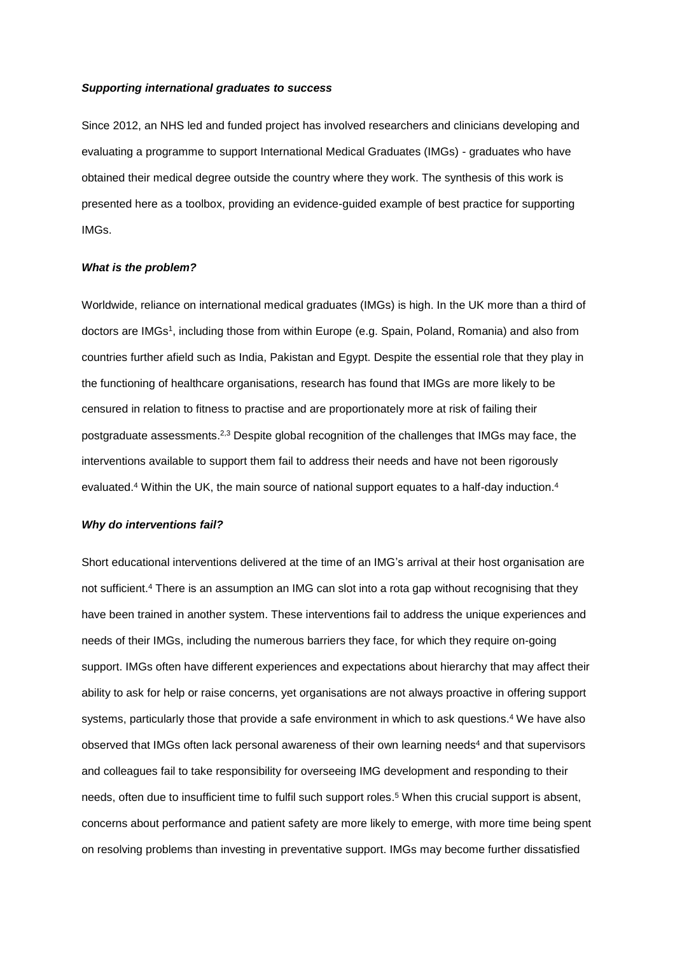## *Supporting international graduates to success*

Since 2012, an NHS led and funded project has involved researchers and clinicians developing and evaluating a programme to support International Medical Graduates (IMGs) - graduates who have obtained their medical degree outside the country where they work. The synthesis of this work is presented here as a toolbox, providing an evidence-guided example of best practice for supporting IMGs.

#### *What is the problem?*

Worldwide, reliance on international medical graduates (IMGs) is high. In the UK more than a third of doctors are IMGs<sup>1</sup>, including those from within Europe (e.g. Spain, Poland, Romania) and also from countries further afield such as India, Pakistan and Egypt. Despite the essential role that they play in the functioning of healthcare organisations, research has found that IMGs are more likely to be censured in relation to fitness to practise and are proportionately more at risk of failing their postgraduate assessments.<sup>2,3</sup> Despite global recognition of the challenges that IMGs may face, the interventions available to support them fail to address their needs and have not been rigorously evaluated.<sup>4</sup> Within the UK, the main source of national support equates to a half-day induction.<sup>4</sup>

#### *Why do interventions fail?*

Short educational interventions delivered at the time of an IMG's arrival at their host organisation are not sufficient. <sup>4</sup> There is an assumption an IMG can slot into a rota gap without recognising that they have been trained in another system. These interventions fail to address the unique experiences and needs of their IMGs, including the numerous barriers they face, for which they require on-going support. IMGs often have different experiences and expectations about hierarchy that may affect their ability to ask for help or raise concerns, yet organisations are not always proactive in offering support systems, particularly those that provide a safe environment in which to ask questions. <sup>4</sup> We have also observed that IMGs often lack personal awareness of their own learning needs<sup>4</sup> and that supervisors and colleagues fail to take responsibility for overseeing IMG development and responding to their needs, often due to insufficient time to fulfil such support roles. <sup>5</sup> When this crucial support is absent, concerns about performance and patient safety are more likely to emerge, with more time being spent on resolving problems than investing in preventative support. IMGs may become further dissatisfied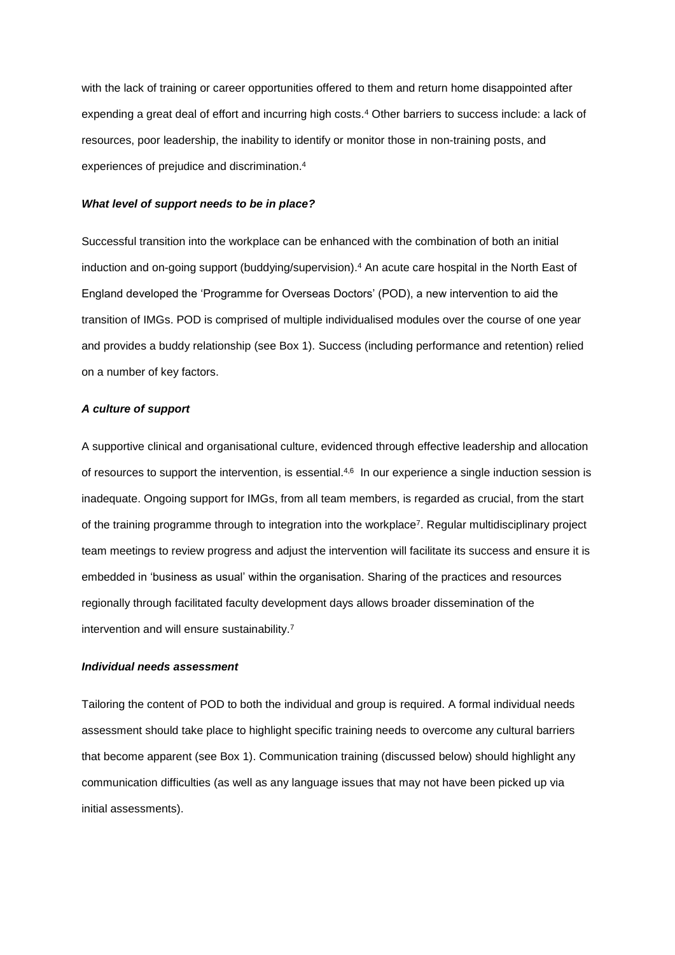with the lack of training or career opportunities offered to them and return home disappointed after expending a great deal of effort and incurring high costs.<sup>4</sup> Other barriers to success include: a lack of resources, poor leadership, the inability to identify or monitor those in non-training posts, and experiences of prejudice and discrimination. 4

#### *What level of support needs to be in place?*

Successful transition into the workplace can be enhanced with the combination of both an initial induction and on-going support (buddying/supervision). <sup>4</sup> An acute care hospital in the North East of England developed the 'Programme for Overseas Doctors' (POD), a new intervention to aid the transition of IMGs. POD is comprised of multiple individualised modules over the course of one year and provides a buddy relationship (see Box 1). Success (including performance and retention) relied on a number of key factors.

#### *A culture of support*

A supportive clinical and organisational culture, evidenced through effective leadership and allocation of resources to support the intervention, is essential.<sup>4,6</sup> In our experience a single induction session is inadequate. Ongoing support for IMGs, from all team members, is regarded as crucial, from the start of the training programme through to integration into the workplace<sup>7</sup> . Regular multidisciplinary project team meetings to review progress and adjust the intervention will facilitate its success and ensure it is embedded in 'business as usual' within the organisation. Sharing of the practices and resources regionally through facilitated faculty development days allows broader dissemination of the intervention and will ensure sustainability. 7

### *Individual needs assessment*

Tailoring the content of POD to both the individual and group is required. A formal individual needs assessment should take place to highlight specific training needs to overcome any cultural barriers that become apparent (see Box 1). Communication training (discussed below) should highlight any communication difficulties (as well as any language issues that may not have been picked up via initial assessments).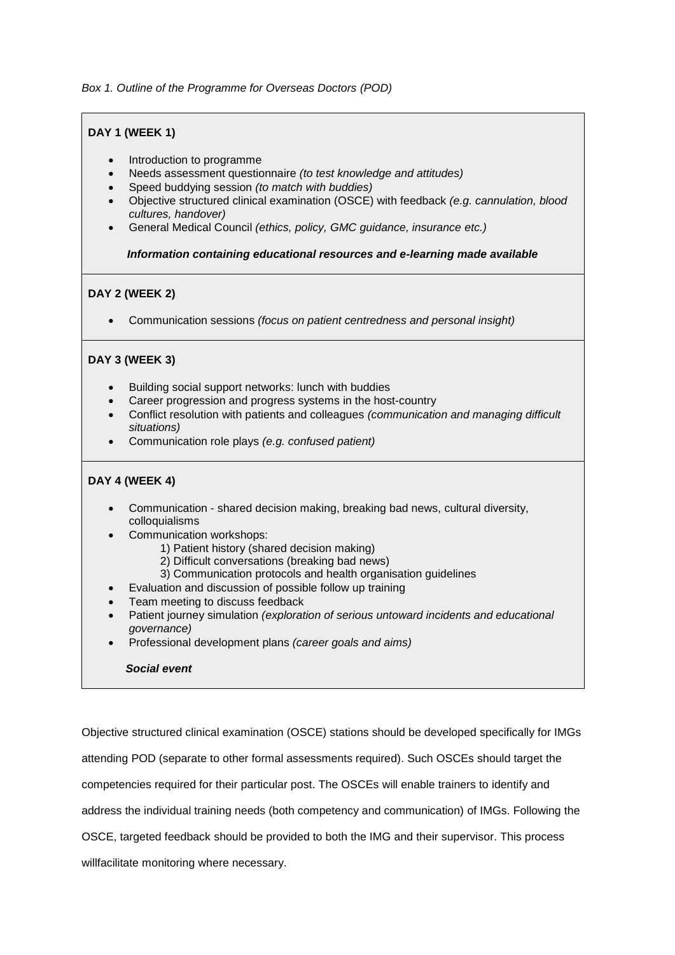*Box 1. Outline of the Programme for Overseas Doctors (POD)*

# **DAY 1 (WEEK 1)**

- Introduction to programme
- Needs assessment questionnaire *(to test knowledge and attitudes)*
- Speed buddying session *(to match with buddies)*
- Objective structured clinical examination (OSCE) with feedback *(e.g. cannulation, blood cultures, handover)*
- General Medical Council *(ethics, policy, GMC guidance, insurance etc.)*

 *Information containing educational resources and e-learning made available*

# **DAY 2 (WEEK 2)**

Communication sessions *(focus on patient centredness and personal insight)*

# **DAY 3 (WEEK 3)**

- Building social support networks: lunch with buddies
- Career progression and progress systems in the host-country
- Conflict resolution with patients and colleagues *(communication and managing difficult situations)*
- Communication role plays *(e.g. confused patient)*

## **DAY 4 (WEEK 4)**

- Communication shared decision making, breaking bad news, cultural diversity, colloquialisms
- Communication workshops:
	- 1) Patient history (shared decision making)
	- 2) Difficult conversations (breaking bad news)
	- 3) Communication protocols and health organisation guidelines
- Evaluation and discussion of possible follow up training
- Team meeting to discuss feedback
- Patient journey simulation *(exploration of serious untoward incidents and educational governance)*
- Professional development plans *(career goals and aims)*

## *Social event*

Objective structured clinical examination (OSCE) stations should be developed specifically for IMGs attending POD (separate to other formal assessments required). Such OSCEs should target the competencies required for their particular post. The OSCEs will enable trainers to identify and address the individual training needs (both competency and communication) of IMGs. Following the OSCE, targeted feedback should be provided to both the IMG and their supervisor. This process willfacilitate monitoring where necessary.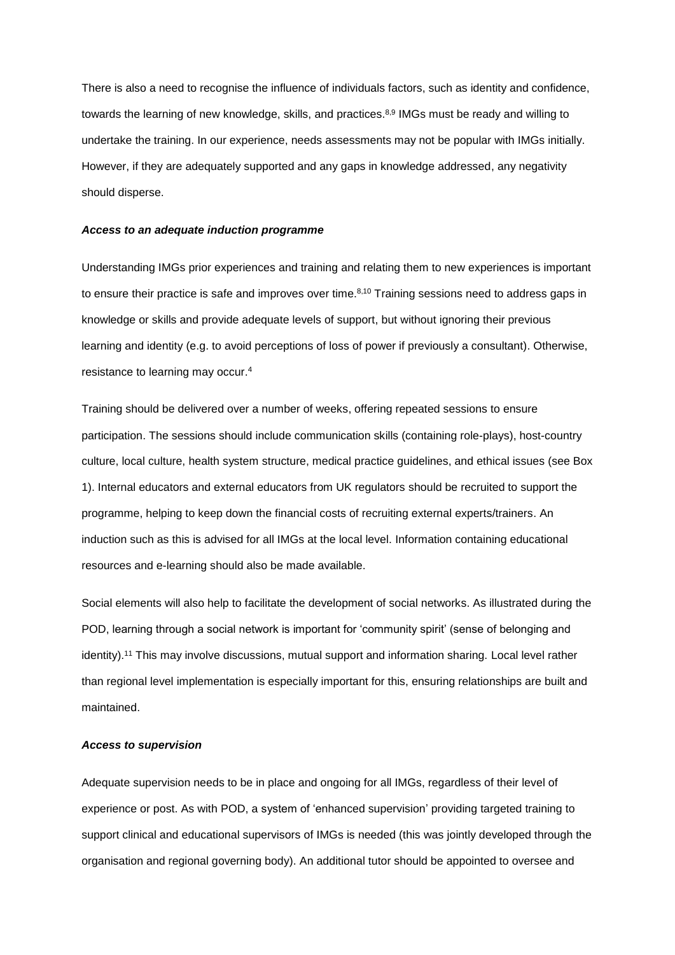There is also a need to recognise the influence of individuals factors, such as identity and confidence, towards the learning of new knowledge, skills, and practices.<sup>8,9</sup> IMGs must be ready and willing to undertake the training. In our experience, needs assessments may not be popular with IMGs initially. However, if they are adequately supported and any gaps in knowledge addressed, any negativity should disperse.

### *Access to an adequate induction programme*

Understanding IMGs prior experiences and training and relating them to new experiences is important to ensure their practice is safe and improves over time.<sup>8,10</sup> Training sessions need to address gaps in knowledge or skills and provide adequate levels of support, but without ignoring their previous learning and identity (e.g. to avoid perceptions of loss of power if previously a consultant). Otherwise, resistance to learning may occur. 4

Training should be delivered over a number of weeks, offering repeated sessions to ensure participation. The sessions should include communication skills (containing role-plays), host-country culture, local culture, health system structure, medical practice guidelines, and ethical issues (see Box 1). Internal educators and external educators from UK regulators should be recruited to support the programme, helping to keep down the financial costs of recruiting external experts/trainers. An induction such as this is advised for all IMGs at the local level. Information containing educational resources and e-learning should also be made available.

Social elements will also help to facilitate the development of social networks. As illustrated during the POD, learning through a social network is important for 'community spirit' (sense of belonging and identity).<sup>11</sup> This may involve discussions, mutual support and information sharing. Local level rather than regional level implementation is especially important for this, ensuring relationships are built and maintained.

## *Access to supervision*

Adequate supervision needs to be in place and ongoing for all IMGs, regardless of their level of experience or post. As with POD, a system of 'enhanced supervision' providing targeted training to support clinical and educational supervisors of IMGs is needed (this was jointly developed through the organisation and regional governing body). An additional tutor should be appointed to oversee and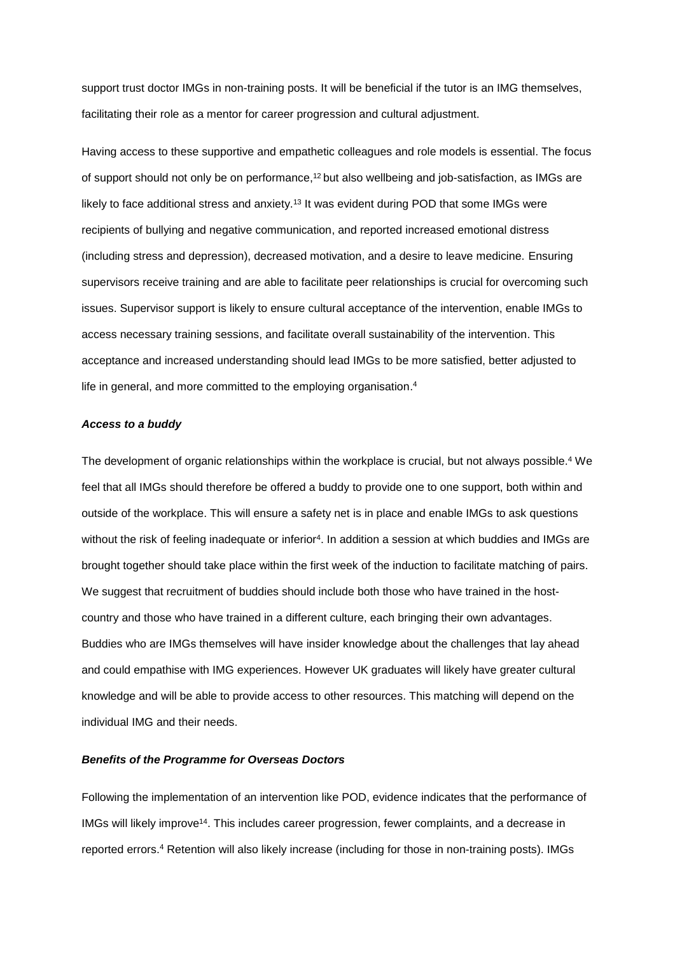support trust doctor IMGs in non-training posts. It will be beneficial if the tutor is an IMG themselves, facilitating their role as a mentor for career progression and cultural adjustment.

Having access to these supportive and empathetic colleagues and role models is essential. The focus of support should not only be on performance,<sup>12</sup> but also wellbeing and job-satisfaction, as IMGs are likely to face additional stress and anxiety.<sup>13</sup> It was evident during POD that some IMGs were recipients of bullying and negative communication, and reported increased emotional distress (including stress and depression), decreased motivation, and a desire to leave medicine. Ensuring supervisors receive training and are able to facilitate peer relationships is crucial for overcoming such issues. Supervisor support is likely to ensure cultural acceptance of the intervention, enable IMGs to access necessary training sessions, and facilitate overall sustainability of the intervention. This acceptance and increased understanding should lead IMGs to be more satisfied, better adjusted to life in general, and more committed to the employing organisation.<sup>4</sup>

### *Access to a buddy*

The development of organic relationships within the workplace is crucial, but not always possible. <sup>4</sup> We feel that all IMGs should therefore be offered a buddy to provide one to one support, both within and outside of the workplace. This will ensure a safety net is in place and enable IMGs to ask questions without the risk of feeling inadequate or inferior<sup>4</sup>. In addition a session at which buddies and IMGs are brought together should take place within the first week of the induction to facilitate matching of pairs. We suggest that recruitment of buddies should include both those who have trained in the hostcountry and those who have trained in a different culture, each bringing their own advantages. Buddies who are IMGs themselves will have insider knowledge about the challenges that lay ahead and could empathise with IMG experiences. However UK graduates will likely have greater cultural knowledge and will be able to provide access to other resources. This matching will depend on the individual IMG and their needs.

#### *Benefits of the Programme for Overseas Doctors*

Following the implementation of an intervention like POD, evidence indicates that the performance of IMGs will likely improve<sup>14</sup>. This includes career progression, fewer complaints, and a decrease in reported errors. <sup>4</sup> Retention will also likely increase (including for those in non-training posts). IMGs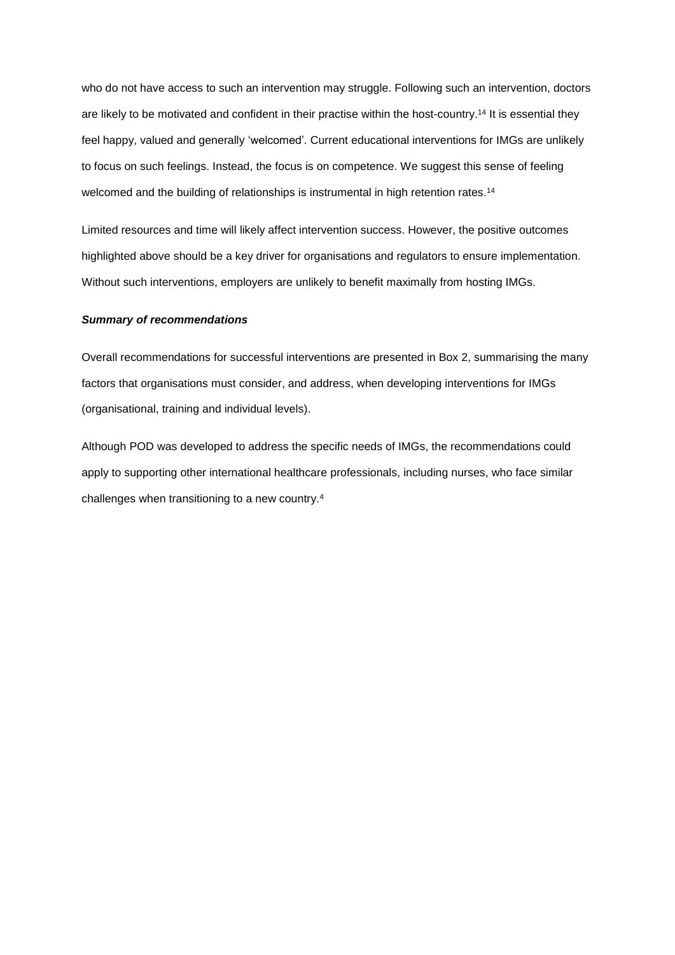who do not have access to such an intervention may struggle. Following such an intervention, doctors are likely to be motivated and confident in their practise within the host-country. <sup>14</sup> It is essential they feel happy, valued and generally 'welcomed'. Current educational interventions for IMGs are unlikely to focus on such feelings. Instead, the focus is on competence. We suggest this sense of feeling welcomed and the building of relationships is instrumental in high retention rates.<sup>14</sup>

Limited resources and time will likely affect intervention success. However, the positive outcomes highlighted above should be a key driver for organisations and regulators to ensure implementation. Without such interventions, employers are unlikely to benefit maximally from hosting IMGs.

## *Summary of recommendations*

Overall recommendations for successful interventions are presented in Box 2, summarising the many factors that organisations must consider, and address, when developing interventions for IMGs (organisational, training and individual levels).

Although POD was developed to address the specific needs of IMGs, the recommendations could apply to supporting other international healthcare professionals, including nurses, who face similar challenges when transitioning to a new country.4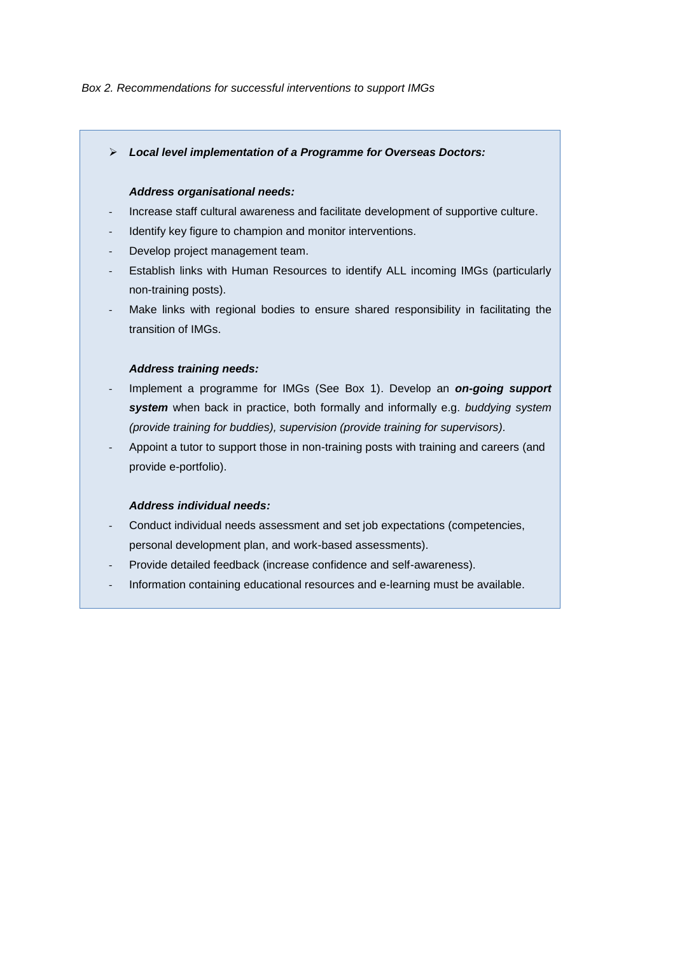### *Box 2. Recommendations for successful interventions to support IMGs*

*Local level implementation of a Programme for Overseas Doctors:* 

## *Address organisational needs:*

- Increase staff cultural awareness and facilitate development of supportive culture.
- Identify key figure to champion and monitor interventions.
- Develop project management team.
- Establish links with Human Resources to identify ALL incoming IMGs (particularly non-training posts).
- Make links with regional bodies to ensure shared responsibility in facilitating the transition of IMGs.

## *Address training needs:*

- Implement a programme for IMGs (See Box 1). Develop an *on-going support system* when back in practice, both formally and informally e.g. *buddying system (provide training for buddies), supervision (provide training for supervisors).*
- Appoint a tutor to support those in non-training posts with training and careers (and provide e-portfolio).

## *Address individual needs:*

- Conduct individual needs assessment and set job expectations (competencies, personal development plan, and work-based assessments).
- Provide detailed feedback (increase confidence and self-awareness).
- Information containing educational resources and e-learning must be available.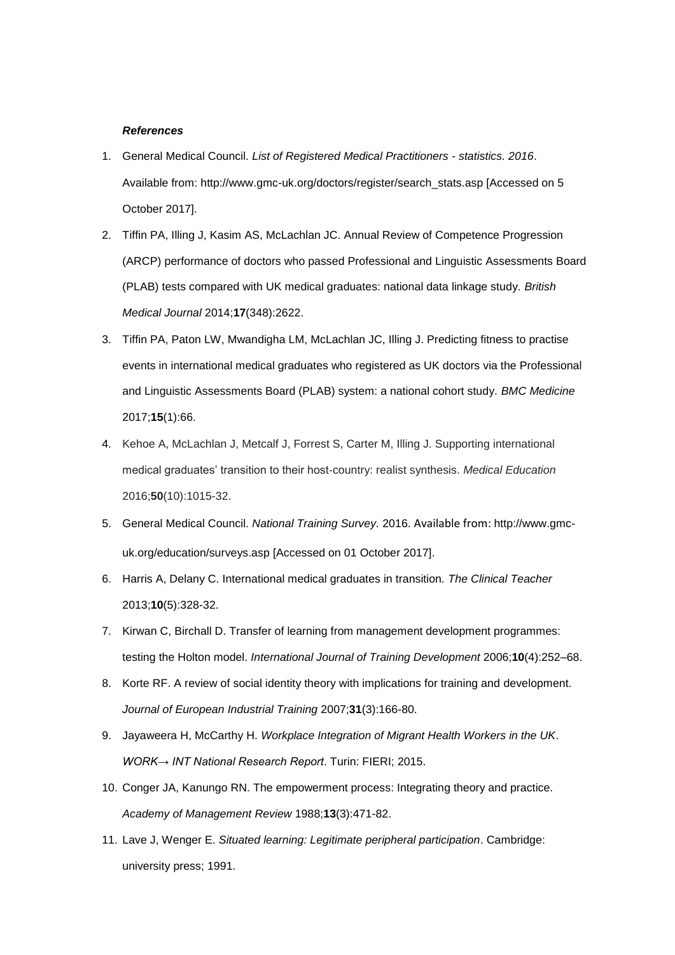### *References*

- 1. General Medical Council. *List of Registered Medical Practitioners - statistics. 2016*. Available from: http://www.gmc-uk.org/doctors/register/search\_stats.asp [Accessed on 5 October 2017].
- 2. Tiffin PA, Illing J, Kasim AS, McLachlan JC. Annual Review of Competence Progression (ARCP) performance of doctors who passed Professional and Linguistic Assessments Board (PLAB) tests compared with UK medical graduates: national data linkage study. *British Medical Journal* 2014;**17**(348):2622.
- 3. Tiffin PA, Paton LW, Mwandigha LM, McLachlan JC, Illing J. Predicting fitness to practise events in international medical graduates who registered as UK doctors via the Professional and Linguistic Assessments Board (PLAB) system: a national cohort study. *BMC Medicine* 2017;**15**(1):66.
- 4. Kehoe A, McLachlan J, Metcalf J, Forrest S, Carter M, Illing J. Supporting international medical graduates' transition to their host‐country: realist synthesis. *Medical Education* 2016;**50**(10):1015-32.
- 5. General Medical Council. *National Training Survey.* 2016. Available from: http://www.gmcuk.org/education/surveys.asp [Accessed on 01 October 2017].
- 6. Harris A, Delany C. International medical graduates in transition. *The Clinical Teacher* 2013;**10**(5):328-32.
- 7. Kirwan C, Birchall D. Transfer of learning from management development programmes: testing the Holton model. *International Journal of Training Development* 2006;**10**(4):252–68.
- 8. Korte RF. A review of social identity theory with implications for training and development. *Journal of European Industrial Training* 2007;**31**(3):166-80.
- 9. Jayaweera H, McCarthy H. *Workplace Integration of Migrant Health Workers in the UK*. *WORK→ INT National Research Report*. Turin: FIERI; 2015.
- 10. Conger JA, Kanungo RN. The empowerment process: Integrating theory and practice. *Academy of Management Review* 1988;**13**(3):471-82.
- 11. Lave J, Wenger E. *Situated learning: Legitimate peripheral participation*. Cambridge: university press; 1991.